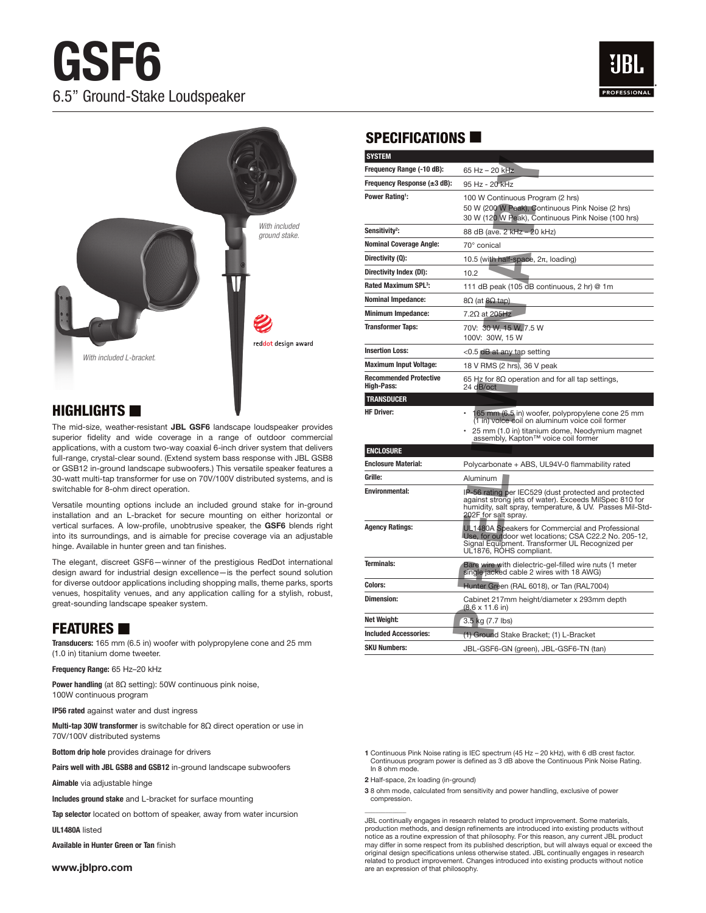# **GSF6**  6.5" Ground-Stake Loudspeaker





# $H$ IGHLIGHTS

The mid-size, weather-resistant **JBL GSF6** landscape loudspeaker provides superior fidelity and wide coverage in a range of outdoor commercial applications, with a custom two-way coaxial 6-inch driver system that delivers full-range, crystal-clear sound. (Extend system bass response with JBL GSB8 or GSB12 in-ground landscape subwoofers.) This versatile speaker features a 30-watt multi-tap transformer for use on 70V/100V distributed systems, and is switchable for 8-ohm direct operation.

Versatile mounting options include an included ground stake for in-ground installation and an L-bracket for secure mounting on either horizontal or vertical surfaces. A low-profile, unobtrusive speaker, the **GSF6** blends right into its surroundings, and is aimable for precise coverage via an adjustable hinge. Available in hunter green and tan finishes.

The elegant, discreet GSF6—winner of the prestigious RedDot international design award for industrial design excellence—is the perfect sound solution for diverse outdoor applications including shopping malls, theme parks, sports venues, hospitality venues, and any application calling for a stylish, robust, great-sounding landscape speaker system.

#### **FEATURES**

**Transducers:** 165 mm (6.5 in) woofer with polypropylene cone and 25 mm (1.0 in) titanium dome tweeter.

**Frequency Range:** 65 Hz–20 kHz

**Power handling** (at 8Ω setting): 50W continuous pink noise, 100W continuous program

**IP56 rated** against water and dust ingress

**Multi-tap 30W transformer** is switchable for 8Ω direct operation or use in 70V/100V distributed systems

**Bottom drip hole** provides drainage for drivers

**Pairs well with JBL GSB8 and GSB12** in-ground landscape subwoofers

**Aimable** via adjustable hinge

**Includes ground stake** and L-bracket for surface mounting

**Tap selector** located on bottom of speaker, away from water incursion

**UL1480A** listed

**Available in Hunter Green or Tan** finish

**www.jblpro.com**

#### SPECIFICATIONS  $\blacksquare$

|                                                                                            | <b>SYSTEM</b>                                      |                                                                                                                                                                                                     |
|--------------------------------------------------------------------------------------------|----------------------------------------------------|-----------------------------------------------------------------------------------------------------------------------------------------------------------------------------------------------------|
|                                                                                            | Frequency Range (-10 dB):                          | 65 Hz - 20 kHz                                                                                                                                                                                      |
|                                                                                            | Frequency Response $(\pm 3$ dB):                   | 95 Hz - 20 kHz                                                                                                                                                                                      |
|                                                                                            | Power Rating <sup>1</sup> :                        | 100 W Continuous Program (2 hrs)<br>50 W (200 W Peak), Continuous Pink Noise (2 hrs)<br>30 W (120 W Peak), Continuous Pink Noise (100 hrs)                                                          |
| With included<br>ground stake.<br>ddot design award                                        | Sensitivity <sup>2</sup> :                         | 88 dB (ave. 2 kHz - 20 kHz)                                                                                                                                                                         |
|                                                                                            | <b>Nominal Coverage Angle:</b>                     | 70° conical                                                                                                                                                                                         |
|                                                                                            | Directivity (Q):                                   | 10.5 (with half-space, $2\pi$ , loading)                                                                                                                                                            |
|                                                                                            | Directivity Index (DI):                            | 10.2                                                                                                                                                                                                |
|                                                                                            | Rated Maximum SPL <sup>3</sup> :                   | 111 dB peak (105 dB continuous, 2 hr) @ 1m                                                                                                                                                          |
|                                                                                            | <b>Nominal Impedance:</b>                          | $8Ω$ (at $8Ω$ tap)                                                                                                                                                                                  |
|                                                                                            | <b>Minimum Impedance:</b>                          | 7.2 $\Omega$ at 205Hz                                                                                                                                                                               |
|                                                                                            | <b>Transformer Taps:</b>                           | 70V: 30 W, 15 W, 7.5 W<br>100V: 30W, 15 W                                                                                                                                                           |
|                                                                                            | <b>Insertion Loss:</b>                             | $<$ 0.5 dB at any tap setting                                                                                                                                                                       |
|                                                                                            | <b>Maximum Input Voltage:</b>                      | 18 V RMS (2 hrs), 36 V peak                                                                                                                                                                         |
|                                                                                            | <b>Recommended Protective</b><br><b>High-Pass:</b> | 65 Hz for 8 $\Omega$ operation and for all tap settings,<br>24 dB/oct                                                                                                                               |
|                                                                                            | <b>TRANSDUCER</b>                                  |                                                                                                                                                                                                     |
|                                                                                            | <b>HF Driver:</b>                                  | 165 mm (6.5 in) woofer, polypropylene cone 25 mm<br>(1 in) voice coil on aluminum voice coil former                                                                                                 |
| budspeaker provides<br>putdoor commercial                                                  |                                                    | 25 mm (1.0 in) titanium dome, Neodymium magnet<br>assembly, Kapton™ voice coil former                                                                                                               |
| system that delivers                                                                       | <b>ENCLOSURE</b>                                   |                                                                                                                                                                                                     |
| onse with JBL GSB8<br>e speaker features a<br>uted systems, and is                         | <b>Enclosure Material:</b>                         | Polycarbonate + ABS, UL94V-0 flammability rated                                                                                                                                                     |
|                                                                                            | Grille:                                            | Aluminum                                                                                                                                                                                            |
| stake for in-ground<br>either horizontal or<br>e GSF6 blends right<br>ge via an adjustable | <b>Environmental:</b>                              | IP-56 rating per IEC529 (dust protected and protected<br>against strong jets of water). Exceeds MilSpec 810 for<br>humidity, salt spray, temperature, & UV. Passes Mil-Std-<br>202F for salt spray. |
|                                                                                            | <b>Agency Ratings:</b>                             | UL1480A Speakers for Commercial and Professional<br>Use, for outdoor wet locations; CSA C22.2 No. 205-12,<br>Signal Equipment. Transformer UL Recognized per<br>UL1876, ROHS compliant.             |
| RedDot international<br>rfect sound solution                                               | <b>Terminals:</b>                                  | Bare wire with dielectric-gel-filled wire nuts (1 meter<br>single jacked cable 2 wires with 18 AWG)                                                                                                 |
| theme parks, sports                                                                        | <b>Colors:</b>                                     | Hunter Green (RAL 6018), or Tan (RAL7004)                                                                                                                                                           |
| for a stylish, robust,                                                                     | <b>Dimension:</b>                                  | Cabinet 217mm height/diameter x 293mm depth<br>$(8.6 \times 11.6)$ in)                                                                                                                              |
|                                                                                            | Net Weight:                                        | 3.5 kg (7.7 lbs)                                                                                                                                                                                    |
|                                                                                            | <b>Included Accessories:</b>                       | (1) Ground Stake Bracket; (1) L-Bracket                                                                                                                                                             |
| ne and 25 mm                                                                               | <b>SKU Numbers:</b>                                | JBL-GSF6-GN (green), JBL-GSF6-TN (tan)                                                                                                                                                              |

**1** Continuous Pink Noise rating is IEC spectrum (45 Hz – 20 kHz), with 6 dB crest factor. Continuous program power is defined as 3 dB above the Continuous Pink Noise Rating. In 8 ohm mode

**2** Half-space, 2π loading (in-ground)

 $\overline{\phantom{a}}$ 

**3** 8 ohm mode, calculated from sensitivity and power handling, exclusive of power compression.

JBL continually engages in research related to product improvement. Some materials, production methods, and design refinements are introduced into existing products without notice as a routine expression of that philosophy. For this reason, any current JBL product may differ in some respect from its published description, but will always equal or exceed the original design specifications unless otherwise stated. JBL continually engages in research related to product improvement. Changes introduced into existing products without notice are an expression of that philosophy.